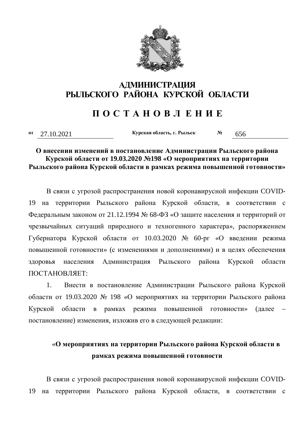

### **АДМИНИСТРАЦИЯ ɊɕɅɖɋɄɈȽɈ ɊȺɃɈɇȺ ɄɍɊɋɄɈɃ ɈȻɅȺɋɌɂ**

## **ɉ Ɉ ɋ Ɍ Ⱥ ɇ Ɉ ȼ Ʌ ȿ ɇ ɂ ȿ**

**ɨɬ** 27.10.2021 **Ʉɭɪɫɤɚɹɨɛɥɚɫɬɶ, ɝ. Ɋɵɥɶɫɤ <sup>ʋ</sup>** 656

#### **О внесении изменений в постановление Администрации Рыльского района Курской области от 19.03.2020 №198 «О мероприятиях на территории** Рыльского района Курской области в рамках режима повышенной готовности»

В связи с угрозой распространения новой коронавирусной инфекции COVID-19 на территории Рыльского района Курской области, в соответствии с Федеральным законом от 21.12.1994 № 68-ФЗ «О защите населения и территорий от чрезвычайных ситуаций природного и техногенного характера», распоряжением Губернатора Курской области от 10.03.2020 № 60-рг «О введении режима повышенной готовности» (с изменениями и дополнениями) и в целях обеспечения здоровья населения Администрация Рыльского района Курской области ПОСТАНОВЛЯЕТ

1. Внести в постановление Администрации Рыльского района Курской области от 19.03.2020 № 198 «О мероприятиях на территории Рыльского района Курской области в рамках режима повышенной готовности» (далее постановление) изменения, изложив его в следующей редакции:

# «О мероприятиях на территории Рыльского района Курской области в рамках режима повышенной готовности

В связи с угрозой распространения новой коронавирусной инфекции COVID-19 на территории Рыльского района Курской области, в соответствии с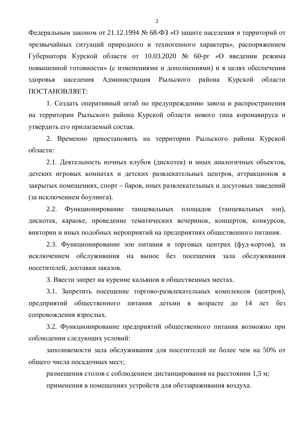Федеральным законом от 21.12.1994 № 68-ФЗ «О защите населения и территорий от чрезвычайных ситуаций природного и техногенного характера», распоряжением Губернатора Курской области от 10.03.2020 № 60-рг «О введении режима повышенной готовности» (с изменениями и дополнениями) и в целях обеспечения здоровья населения Администрация Рыльского района Курской области ɉɈɋɌȺɇɈȼɅəȿɌ:

1. Создать оперативный штаб по предупреждению завоза и распространения на территории Рыльского района Курской области нового типа коронавируса и утвердить его прилагаемый состав.

2. Временно приостановить на территории Рыльского района Курской  $6\pi$ асти:

2.1. Деятельность ночных клубов (дискотек) и иных аналогичных объектов, детских игровых комнатах и детских развлекательных центров, аттракционов в закрытых помещениях, спорт – баров, иных развлекательных и досуговых заведений (за исключением боулинга).

2.2. Функционирование танцевальных площадок (танцевальных зон), дискотек, караоке, проведение тематических вечеринок, концертов, конкурсов, викторин и иных подобных мероприятий на предприятиях общественного питания.

2.3. Функционирование зон питания в торговых центрах (фуд-кортов), за исключением обслуживания на вынос без посещения зала обслуживания посетителей, лоставки заказов.

3. Ввести запрет на курение кальянов в общественных местах.

3.1. Запретить посещение торгово-развлекательных комплексов (центров), предприятий общественного питания детьми в возрасте до 14 лет без сопровождения взрослых.

3.2. Функционирование предприятий общественного питания возможно при соблюдении следующих условий:

заполняемости зала обслуживания для посетителей не более чем на 50% от общего числа посадочных мест;

размещения столов с соблюдением дистанцирования на расстоянии 1,5 м; применения в помещениях устройств для обеззараживания воздуха.

 $\overline{2}$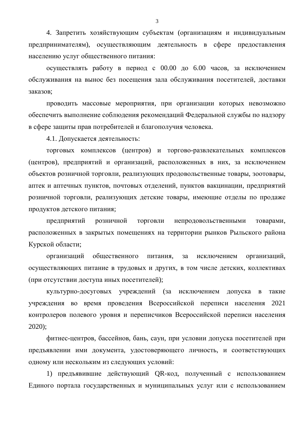4. Запретить хозяйствующим субъектам (организациям и индивидуальным предпринимателям), осуществляющим деятельность в сфере предоставления населению услуг общественного питания:

осуществлять работу в период с 00.00 до 6.00 часов, за исключением обслуживания на вынос без посещения зала обслуживания посетителей, доставки заказов:

проводить массовые мероприятия, при организации которых невозможно обеспечить выполнение соблюдения рекомендаций Федеральной службы по надзору в сфере защиты прав потребителей и благополучия человека.

4.1. Допускается деятельность:

торговых комплексов (центров) и торгово-развлекательных комплексов (центров), предприятий и организаций, расположенных в них, за исключением объектов розничной торговли, реализующих продовольственные товары, зоотовары, аптек и аптечных пунктов, почтовых отделений, пунктов вакцинации, предприятий розничной торговли, реализующих детские товары, имеющие отделы по продаже продуктов детского питания;

предприятий розничной торговли непродовольственными товарами, расположенных в закрытых помещениях на территории рынков Рыльского района Курской области;

организаций общественного питания, за исключением организаций, осуществляющих питание в трудовых и других, в том числе детских, коллективах (при отсутствии доступа иных посетителей);

культурно-досуговых учреждений (за исключением допуска в такие учреждения во время проведения Всероссийской переписи населения 2021 контролеров полевого уровня и переписчиков Всероссийской переписи населения 2020);

фитнес-центров, бассейнов, бань, саун, при условии допуска посетителей при предъявлении ими документа, удостоверяющего личность, и соответствующих одному или нескольким из следующих условий:

1) предъявившие действующий QR-код, полученный с использованием Единого портала государственных и муниципальных услуг или с использованием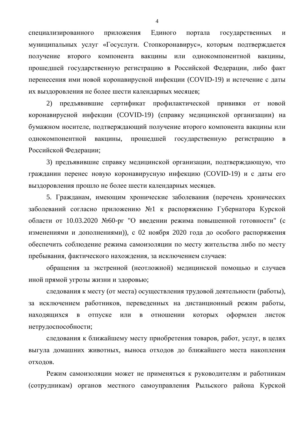специализированного приложения Единого портала государственных и муниципальных услуг «Госуслуги. Стопкоронавирус», которым подтверждается получение второго компонента вакцины или однокомпонентной вакцины, прошедшей государственную регистрацию в Российской Федерации, либо факт перенесения ими новой коронавирусной инфекции (COVID-19) и истечение с даты их выздоровления не более шести календарных месяцев:

2) предъявившие сертификат профилактической прививки от новой коронавирусной инфекции (COVID-19) (справку медицинской организации) на бумажном носителе, подтверждающий получение второго компонента вакцины или однокомпонентной вакцины, прошедшей государственную регистрацию в Российской Федерации;

3) предъявившие справку медицинской организации, подтверждающую, что гражданин перенес новую коронавирусную инфекцию (COVID-19) и с даты его выздоровления прошло не более шести календарных месяцев.

5. Гражданам, имеющим хронические заболевания (перечень хронических заболеваний согласно приложению №1 к распоряжению Губернатора Курской области от 10.03.2020 №60-рг "О введении режима повышенной готовности" (с изменениями и дополнениями)), с 02 ноября 2020 года до особого распоряжения обеспечить соблюдение режима самоизоляции по месту жительства либо по месту пребывания, фактического нахождения, за исключением случаев:

обращения за экстренной (неотложной) медицинской помощью и случаев иной прямой угрозы жизни и здоровью;

следования к месту (от места) осуществления трудовой деятельности (работы), за исключением работников, переведенных на дистанционный режим работы, находящихся в отпуске или в отношении которых оформлен листок нетрудоспособности;

следования к ближайшему месту приобретения товаров, работ, услуг, в целях выгула домашних животных, выноса отходов до ближайшего места накопления отходов.

Режим самоизоляции может не применяться к руководителям и работникам (сотрудникам) органов местного самоуправления Рыльского района Курской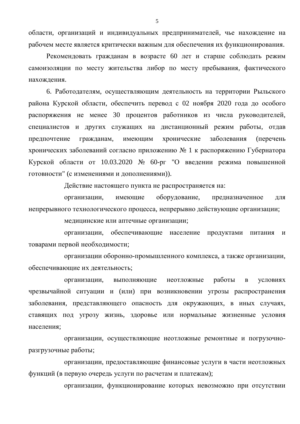области, организаций и индивидуальных предпринимателей, чье нахождение на рабочем месте является критически важным для обеспечения их функционирования.

Рекомендовать гражданам в возрасте 60 лет и старше соблюдать режим самоизоляции по месту жительства либор по месту пребывания, фактического нахождения.

6. Работодателям, осуществляющим деятельность на территории Рыльского района Курской области, обеспечить перевод с 02 ноября 2020 года до особого распоряжения не менее 30 процентов работников из числа руководителей, специалистов и других служащих на дистанционный режим работы, отдав предпочтение гражданам, имеющим хронические заболевания (перечень хронических заболеваний согласно приложению № 1 к распоряжению Губернатора Курской области от 10.03.2020 № 60-рг "О введении режима повышенной готовности" (с изменениями и дополнениями)).

Действие настоящего пункта не распространяется на:

организации, имеющие оборудование, предназначенное для непрерывного технологического процесса, непрерывно действующие организации;

медицинские или аптечные организации;

организации, обеспечивающие население продуктами питания и товарами первой необходимости;

организации оборонно-промышленного комплекса, а также организации, обеспечивающие их деятельность:

организации, выполняющие неотложные работы в условиях чрезвычайной ситуации и (или) при возникновении угрозы распространения заболевания, представляющего опасность для окружающих, в иных случаях, ставящих под угрозу жизнь, здоровье или нормальные жизненные условия населения;

организации, осуществляющие неотложные ремонтные и погрузочноразгрузочные работы;

организации, предоставляющие финансовые услуги в части неотложных функций (в первую очередь услуги по расчетам и платежам);

организации, функционирование которых невозможно при отсутствии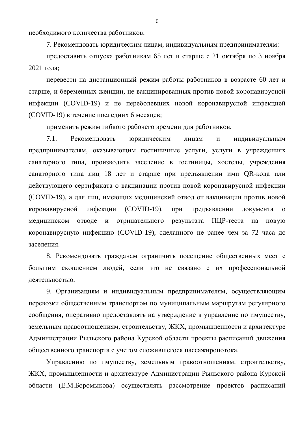необходимого количества работников.

7. Рекомендовать юридическим лицам, индивидуальным предпринимателям:

предоставить отпуска работникам 65 лет и старше с 21 октября по 3 ноября 2021 года;

перевести на дистанционный режим работы работников в возрасте 60 лет и старше, и беременных женщин, не вакцинированных против новой коронавирусной инфекции (COVID-19) и не переболевших новой коронавирусной инфекцией (COVID-19) в течение последних 6 месяцев;

применить режим гибкого рабочего времени для работников.

7.1. Рекомендовать юридическим лицам и индивидуальным предпринимателям, оказывающим гостиничные услуги, услуги в учреждениях санаторного типа, производить заселение в гостиницы, хостелы, учреждения санаторного типа лиц 18 лет и старше при предъявлении ими QR-кода или действующего сертификата о вакцинации против новой коронавирусной инфекции (COVID-19), а для лиц, имеющих медицинский отвод от вакцинации против новой коронавирусной инфекции (COVID-19), при предъявлении документа о медицинском отводе и отрицательного результата ПЦР-теста на новую коронавирусную инфекцию (COVID-19), сделанного не ранее чем за 72 часа до заселения.

8. Рекомендовать гражданам ограничить посещение общественных мест с большим скоплением людей, если это не связано с их профессиональной деятельностью.

9. Организациям и индивидуальным предпринимателям, осуществляющим перевозки общественным транспортом по муниципальным маршрутам регулярного сообщения, оперативно предоставлять на утверждение в управление по имуществу, земельным правоотношениям, строительству, ЖКХ, промышленности и архитектуре Администрации Рыльского района Курской области проекты расписаний движения общественного транспорта с учетом сложившегося пассажиропотока.

Управлению по имуществу, земельным правоотношениям, строительству, ЖКХ, промышленности и архитектуре Администрации Рыльского района Курской области (Е.М.Боромыкова) осуществлять рассмотрение проектов расписаний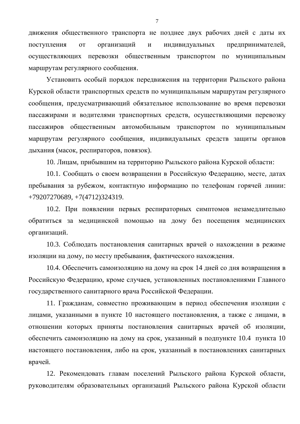движения общественного транспорта не позднее двух рабочих дней с даты их поступления от организаций и индивидуальных предпринимателей, осуществляющих перевозки общественным транспортом по муниципальным маршрутам регулярного сообщения.

Установить особый порядок передвижения на территории Рыльского района Курской области транспортных средств по муниципальным маршрутам регулярного сообщения, предусматривающий обязательное использование во время перевозки пассажирами и водителями транспортных средств, осуществляющими перевозку пассажиров общественным автомобильным транспортом по муниципальным маршрутам регулярного сообщения, индивидуальных средств защиты органов дыхания (масок, респираторов, повязок).

10. Лицам, прибывшим на территорию Рыльского района Курской области:

10.1. Сообщать о своем возвращении в Российскую Федерацию, месте, датах пребывания за рубежом, контактную информацию по телефонам горячей линии: +79207270689, +7(4712)324319.

10.2. При появлении первых респираторных симптомов незамедлительно обратиться за медицинской помощью на дому без посещения медицинских организаций.

10.3. Соблюдать постановления санитарных врачей о нахождении в режиме изоляции на дому, по месту пребывания, фактического нахождения.

10.4. Обеспечить самоизоляцию на дому на срок 14 дней со дня возвращения в Российскую Федерацию, кроме случаев, установленных постановлениями Главного государственного санитарного врача Российской Федерации.

11. Гражданам, совместно проживающим в период обеспечения изоляции с лицами, указанными в пункте 10 настоящего постановления, а также с лицами, в отношении которых приняты постановления санитарных врачей об изоляции, обеспечить самоизоляцию на дому на срок, указанный в подпункте 10.4 пункта 10 настоящего постановления, либо на срок, указанный в постановлениях санитарных врачей.

12. Рекомендовать главам поселений Рыльского района Курской области, руководителям образовательных организаций Рыльского района Курской области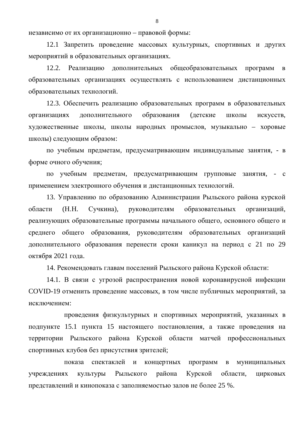независимо от их организационно – правовой формы:

12.1 Запретить проведение массовых культурных, спортивных и других мероприятий в образовательных организациях.

12.2. Реализацию дополнительных общеобразовательных программ в образовательных организациях осуществлять с использованием дистанционных образовательных технологий.

12.3. Обеспечить реализацию образовательных программ в образовательных организациях дополнительного образования (детские школы искусств, художественные школы, школы народных промыслов, музыкально – хоровые школы) следующим образом:

по учебным предметам, предусматривающим индивидуальные занятия, - в форме очного обучения;

по учебным предметам, предусматривающим групповые занятия, - с применением электронного обучения и дистанционных технологий.

13. Управлению по образованию Администрации Рыльского района курской области (Н.Н. Сучкина), руководителям образовательных организаций, реализующих образовательные программы начального общего, основного общего и среднего общего образования, руководителям образовательных организаций дополнительного образования перенести сроки каникул на период с 21 по 29 октября 2021 года.

14. Рекомендовать главам поселений Рыльского района Курской области:

14.1. В связи с угрозой распространения новой коронавирусной инфекции COVID-19 отменить проведение массовых, в том числе публичных мероприятий, за исключением:

проведения физкультурных и спортивных мероприятий, указанных в подпункте 15.1 пункта 15 настоящего постановления, а также проведения на территории Рыльского района Курской области матчей профессиональных спортивных клубов без присутствия зрителей;

показа спектаклей и концертных программ в муниципальных үчреждениях культуры Рыльского района Курской области, цирковых представлений и кинопоказа с заполняемостью залов не более 25 %.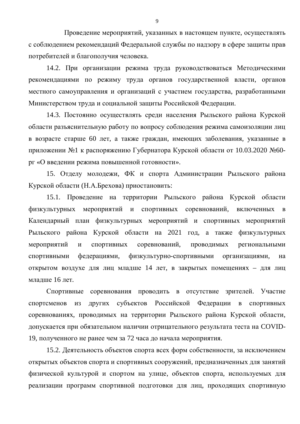Проведение мероприятий, указанных в настоящем пункте, осуществлять с соблюдением рекомендаций Федеральной службы по надзору в сфере защиты прав потребителей и благополучия человека.

14.2. При организации режима труда руководствоваться Методическими рекомендациями по режиму труда органов государственной власти, органов местного самоуправления и организаций с участием государства, разработанными Министерством труда и социальной защиты Российской Федерации.

14.3. Постоянно осуществлять среди населения Рыльского района Курской области разъяснительную работу по вопросу соблюдения режима самоизоляции лиц в возрасте старше 60 лет, а также граждан, имеющих заболевания, указанные в приложении №1 к распоряжению Губернатора Курской области от 10.03.2020 №60рг «О введении режима повышенной готовности».

15. Отделу молодежи, ФК и спорта Администрации Рыльского района Курской области (Н.А.Брехова) приостановить:

15.1. Проведение на территории Рыльского района Курской области физкультурных мероприятий и спортивных соревнований, включенных в Календарный план физкультурных мероприятий и спортивных мероприятий Рыльского района Курской области на 2021 год, а также физкультурных мероприятий и спортивных соревнований, проводимых региональными спортивными федерациями, физкультурно-спортивными организациями, на открытом воздухе для лиц младше 14 лет, в закрытых помещениях - для лиц младше 16 лет.

Спортивные соревнования проводить в отсутствие зрителей. Участие спортсменов из других субъектов Российской Федерации в спортивных соревнованиях, проводимых на территории Рыльского района Курской области, допускается при обязательном наличии отрицательного результата теста на COVID-19, полученного не ранее чем за 72 часа до начала мероприятия.

15.2. Деятельность объектов спорта всех форм собственности, за исключением открытых объектов спорта и спортивных сооружений, предназначенных для занятий физической культурой и спортом на улице, объектов спорта, используемых для реализации программ спортивной подготовки для лиц, проходящих спортивную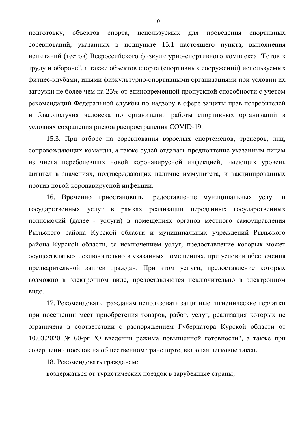подготовку, объектов спорта, используемых для проведения спортивных соревнований, указанных в подпункте 15.1 настоящего пункта, выполнения испытаний (тестов) Всероссийского физкультурно-спортивного комплекса "Готов к труду и обороне", а также объектов спорта (спортивных сооружений) используемых фитнес-клубами, иными физкультурно-спортивными организациями при условии их загрузки не более чем на 25% от елиновременной пропускной способности с учетом рекомендаций Федеральной службы по надзору в сфере защиты прав потребителей и благополучия человека по организации работы спортивных организаций в условиях сохранения рисков распространения COVID-19.

15.3. При отборе на соревнования взрослых спортсменов, тренеров, лиц, сопровождающих команды, а также судей отдавать предпочтение указанным лицам из числа переболевших новой коронавирусной инфекцией, имеющих уровень антител в значениях, подтверждающих наличие иммунитета, и вакцинированных против новой коронавирусной инфекции.

16. Временно приостановить предоставление муниципальных услуг и государственных услуг в рамках реализации переданных государственных полномочий (далее - услуги) в помещениях органов местного самоуправления Рыльского района Курской области и муниципальных учреждений Рыльского района Курской области, за исключением услуг, предоставление которых может осуществляться исключительно в указанных помещениях, при условии обеспечения предварительной записи граждан. При этом услуги, предоставление которых возможно в электронном виде, предоставляются исключительно в электронном виде.

17. Рекомендовать гражданам использовать защитные гигиенические перчатки при посещении мест приобретения товаров, работ, услуг, реализация которых не ограничена в соответствии с распоряжением Губернатора Курской области от 10.03.2020 № 60-рг "О введении режима повышенной готовности", а также при совершении поездок на общественном транспорте, включая легковое такси.

18. Рекомендовать гражданам:

воздержаться от туристических поездок в зарубежные страны;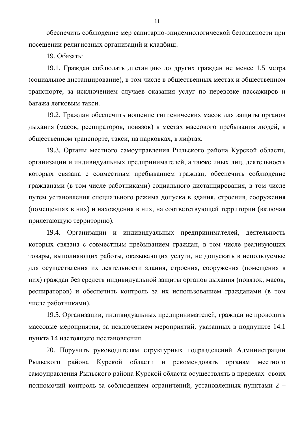обеспечить соблюдение мер санитарно-эпидемиологической безопасности при посещении религиозных организаций и кладбищ.

19. Обязать:

19.1. Граждан соблюдать дистанцию до других граждан не менее 1,5 метра (социальное дистанцирование), в том числе в общественных местах и общественном транспорте, за исключением случаев оказания услуг по перевозке пассажиров и багажа пегковым такси

19.2. Граждан обеспечить ношение гигиенических масок для защиты органов дыхания (масок, респираторов, повязок) в местах массового пребывания людей, в общественном транспорте, такси, на парковках, в лифтах.

19.3. Органы местного самоуправления Рыльского района Курской области, организации и индивидуальных предпринимателей, а также иных лиц, деятельность которых связана с совместным пребыванием граждан, обеспечить соблюдение гражданами (в том числе работниками) социального дистанцирования, в том числе путем установления специального режима допуска в здания, строения, сооружения (помещениях в них) и нахождения в них, на соответствующей территории (включая прилегающую территорию).

19.4. Организации и индивидуальных предпринимателей, деятельность которых связана с совместным пребыванием граждан, в том числе реализующих товары, выполняющих работы, оказывающих услуги, не допускать в используемые для осуществления их деятельности здания, строения, сооружения (помещения в них) граждан без средств индивидуальной защиты органов дыхания (повязок, масок, респираторов) и обеспечить контроль за их использованием гражданами (в том числе работниками).

19.5. Организации, индивидуальных предпринимателей, граждан не проводить массовые мероприятия, за исключением мероприятий, указанных в подпункте 14.1 пункта 14 настоящего постановления.

20. Поручить руководителям структурных подразделений Администрации Рыльского района Курской области и рекомендовать органам местного самоуправления Рыльского района Курской области осуществлять в пределах своих полномочий контроль за соблюдением ограничений, установленных пунктами 2 –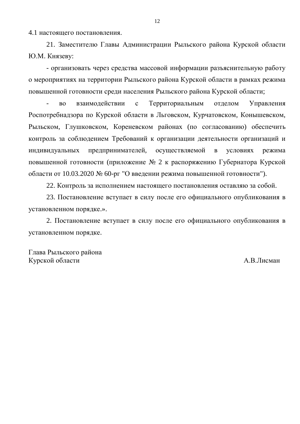4.1 настоящего постановления.

21. Заместителю Главы Администрации Рыльского района Курской области Ю.М. Князеву:

- организовать через средства массовой информации разъяснительную работу о мероприятиях на территории Рыльского района Курской области в рамках режима повышенной готовности среди населения Рыльского района Курской области;

во взаимодействии с Территориальным отделом Управления Роспотребнадзора по Курской области в Льговском, Курчатовском, Конышевском, Рыльском, Глушковском, Кореневском районах (по согласованию) обеспечить контроль за соблюдением Требований к организации деятельности организаций и индивидуальных предпринимателей, осуществляемой в условиях режима повышенной готовности (приложение № 2 к распоряжению Губернатора Курской области от 10.03.2020 № 60-рг "О введении режима повышенной готовности").

22. Контроль за исполнением настоящего постановления оставляю за собой.

23. Постановление вступает в силу после его официального опубликования в установленном порядке.».

2. Постановление вступает в силу после его официального опубликования в установленном порядке.

Глава Рыльского района Курской области **МА.В.Лисман**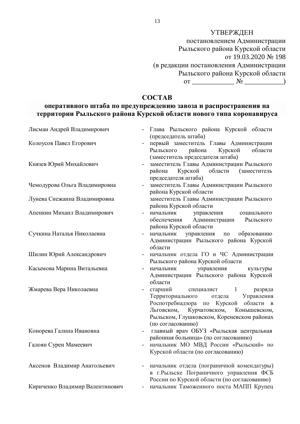### УТВЕРЖДЕН

постановлением Администрации Рыльского района Курской области or 19.03.2020 № 198 (в редакции постановления Администрации Рыльского района Курской области  $\overline{S_1}$   $\underline{S_2}$   $\underline{S_3}$   $\underline{S_4}$   $\underline{S_5}$   $\underline{S_6}$   $\underline{S_7}$   $\underline{S_8}$   $\underline{S_9}$   $\underline{S_1}$   $\underline{S_2}$   $\underline{S_3}$   $\underline{S_4}$   $\underline{S_5}$   $\underline{S_6}$   $\underline{S_7}$   $\underline{S_8}$   $\underline{S_7}$   $\underline{S_8}$   $\underline{S_7}$ 

### **COCTAB**

### **ыеративного штаба по предупреждению завоза и распространения на** территории Рыльского района Курской области нового типа коронавируса

| Лисман Андрей Владимирович      | Глава Рыльского района Курской области<br>(председатель штаба)                                                                                                                                                             |
|---------------------------------|----------------------------------------------------------------------------------------------------------------------------------------------------------------------------------------------------------------------------|
| Колоусов Павел Егорович         | первый заместитель Главы Администрации<br>$\qquad \qquad -$<br>Рыльского района<br>Курской<br>области                                                                                                                      |
| Князев Юрий Михайлович          | (заместитель председателя штаба)<br>заместитель Главы Администрации Рыльского<br>$\qquad \qquad -$<br>района<br>Курской области (заместитель<br>председателя штаба)                                                        |
| Чемодурова Ольга Владимировна   | заместитель Главы Администрации Рыльского<br>$\overline{a}$<br>района Курской области                                                                                                                                      |
| Лунева Снежанна Владимировна    | заместитель Главы Администрации Рыльского<br>района Курской области                                                                                                                                                        |
| Апенкин Михаил Владимирович     | начальник<br>управления<br>социального<br>обеспечения Администрации Рыльского<br>района Курской области                                                                                                                    |
| Сучкина Наталья Николаевна      | начальник управления<br>по образованию<br>$\qquad \qquad -$<br>Администрации Рыльского района Курской<br>области                                                                                                           |
| Шилин Юрий Александрович        | начальник отдела ГО и ЧС Администрации<br>Рыльского района Курской области                                                                                                                                                 |
| Касымова Марина Витальевна      | начальник управления<br>культуры<br>Администрации Рыльского района Курской<br>области                                                                                                                                      |
| Жмарева Вера Николаевна         | старший специалист 1<br>разряда<br>Территориального отдела Управления<br>Роспотребнадзора по Курской области в<br>Льговском, Курчатовском, Конышевском,<br>Рыльском, Глушковском, Кореневском районах<br>(по согласованию) |
| Конорева Галина Ивановна        | главный врач ОБУЗ «Рыльская центральная<br>районная больница» (по согласованию)                                                                                                                                            |
| Галоян Сурен Мамеевич           | начальник МО МВД России «Рыльский» по<br>Курской области (по согласованию)                                                                                                                                                 |
| Аксенов Владимир Анатольевич    | начальник отдела (пограничной комендатуры)<br>в г. Рыльске Пограничного управления ФСБ<br>России по Курской области (по согласованию)                                                                                      |
| Кириченко Владимир Валентинович | начальник Таможенного поста МАПП Крупец                                                                                                                                                                                    |